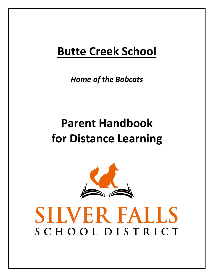## **Butte Creek School**

*Home of the Bobcats*

# **Parent Handbook for Distance Learning**



# SILVER FALLS SCHOOLDISTRICT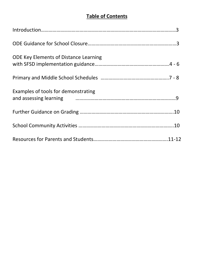## **Table of Contents**

| <b>ODE Key Elements of Distance Learning</b>                                                                                           |
|----------------------------------------------------------------------------------------------------------------------------------------|
|                                                                                                                                        |
| Examples of tools for demonstrating<br>and assessing learning <b>container and assessing learning</b> container and assessing learning |
|                                                                                                                                        |
|                                                                                                                                        |
|                                                                                                                                        |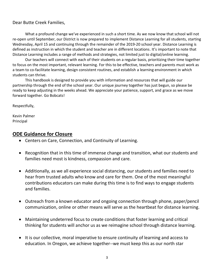#### Dear Butte Creek Families,

What a profound change we've experienced in such a short time. As we now know that school will not re-open until September, our District is now prepared to implement Distance Learning for all students, starting Wednesday, April 15 and continuing through the remainder of the 2019-20 school year. Distance Learning is defined as instruction in which the student and teacher are in different locations. It's important to note that Distance Learning includes a range of methods and strategies, not limited just to digital/online learning.

Our teachers will connect with each of their students on a regular basis, prioritizing their time together to focus on the most important, relevant learning. For this to be effective, teachers and parents must work as a team to co-facilitate learning, design consistent routines, and establish a learning environment in which students can thrive.

This handbook is designed to provide you with information and resources that will guide our partnership through the end of the school year. Our unique journey together has just begun, so please be ready to keep adjusting in the weeks ahead. We appreciate your patience, support, and grace as we move forward together. Go Bobcats!

Respectfully,

Kevin Palmer Principal

## **ODE Guidance for Closure**

- Centers on Care, Connection, and Continuity of Learning.
- Recognition that in this time of immense change and transition, what our students and families need most is kindness, compassion and care.
- Additionally, as we all experience social distancing, our students and families need to hear from trusted adults who know and care for them. One of the most meaningful contributions educators can make during this time is to find ways to engage students and families.
- Outreach from a known educator and ongoing connection through phone, paper/pencil communication, online or other means will serve as the heartbeat for distance learning.
- Maintaining undeterred focus to create conditions that foster learning and critical thinking for students will anchor us as we reimagine school through distance learning.
- It is our collective, moral imperative to ensure continuity of learning and access to education. In Oregon, we achieve together--we must keep this as our north star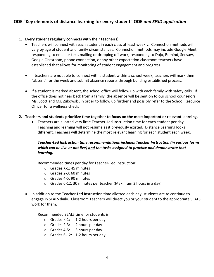## **ODE "Key elements of distance learning for every student" ODE** *and SFSD application*

#### **1. Every student regularly connects with their teacher(s).**

- Teachers will connect with each student in each class at least weekly. Connection methods will vary by age of student and family circumstances. Connection methods may include Google Meet, responding to email or text, mailing or dropping off work, responding to Dojo, Remind, Seesaw, Google Classroom, phone connection, or any other expectation classroom teachers have established that allows for monitoring of student engagement and progress.
- If teachers are not able to connect with a student within a school week, teachers will mark them "absent" for the week and submit absence reports through building established process.
- If a student is marked absent, the school office will follow up with each family with safety calls. If the office does not hear back from a family, the absence will be sent on to our school counselors, Ms. Scott and Ms. Zukowski, in order to follow up further and possibly refer to the School Resource Officer for a wellness check.

#### **2. Teachers and students prioritize time together to focus on the most important or relevant learning.**

• Teachers are allotted very little Teacher-Led Instruction time for each student per day. Teaching and learning will not resume as it previously existed. Distance Learning looks different. Teachers will determine the most relevant learning for each student each week.

#### *Teacher-Led Instruction time recommendations includes Teacher Instruction (in various forms which can be live or not live) and the tasks assigned to practice and demonstrate that learning.*

Recommended times per day for Teacher-Led Instruction:

- $\circ$  Grades K-1: 45 minutes
- o Grades 2-3: 60 minutes
- o Grades 4-5: 90 minutes
- o Grades 6-12: 30 minutes per teacher (Maximum 3 hours in a day)
- In addition to the Teacher-Led Instruction time allotted each day, students are to continue to engage in SEALS daily. Classroom Teachers will direct you or your student to the appropriate SEALS work for them.

Recommended SEALS time for students is:

- o Grades K-1: 1-2 hours per day
- o Grades 2-3: 2 hours per day
- o Grades 4-5: 3 hours per day
- o Grades 6-12: 1-2 hours per day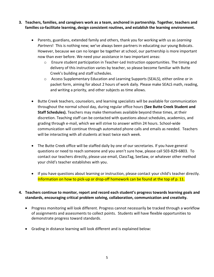- **3. Teachers, families, and caregivers work as a team, anchored in partnership. Together, teachers and families co-facilitate learning, design consistent routines, and establish the learning environment.**
	- Parents, guardians, extended family and others, thank you for working with us as *Learning Partners*! This is nothing new; we've always been partners in educating our young Bobcats. However, because we can no longer be together at school, our partnership is more important now than ever before. We need your assistance in two important areas:
		- $\circ$  Ensure student participation in Teacher-Led Instruction opportunities. The timing and delivery of this instruction varies by teacher, so please become familiar with Butte Creek's building and staff schedules.
		- o Access Supplementary Education and Learning Supports (SEALS), either online or in packet form, aiming for about 2 hours of work daily. Please make SEALS math, reading, and writing a priority, and other subjects as time allows.
	- Butte Creek teachers, counselors, and learning specialists will be available for communication throughout the normal school day, during regular office hours **(See Butte Creek Student and Staff Schedules).** Teachers may make themselves available beyond these times, at their discretion. Teaching staff can be contacted with questions about schedules, academics, and grading through e-mail, which we will strive to answer within 24 hours. School-wide communication will continue through automated phone calls and emails as needed. Teachers will be interacting with all students at least twice each week.
	- The Butte Creek office will be staffed daily by one of our secretaries. If you have general questions or need to reach someone and you aren't sure how, please call 503-829-6803. To contact our teachers directly, please use email, ClassTag, SeeSaw, or whatever other method your child's teacher establishes with you.
	- If you have questions about learning or instruction, please contact your child's teacher directly. Information on how to pick-up or drop-off homework can be found at the top of p. 11.

#### **4. Teachers continue to monitor, report and record each student's progress towards learning goals and standards, encouraging critical problem solving, collaboration, communication and creativity.**

- Progress monitoring will look different. Progress cannot necessarily be tracked through a workflow of assignments and assessments to collect points. Students will have flexible opportunities to demonstrate progress toward standards.
- Grading in distance learning will look different and is explained below: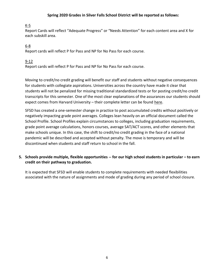#### **Spring 2020 Grades in Silver Falls School District will be reported as follows:**

#### K-5

Report Cards will reflect "Adequate Progress" or "Needs Attention" for each content area and X for each subskill area.

## 6-8

Report cards will reflect P for Pass and NP for No Pass for each course.

#### 9-12

Report cards will reflect P for Pass and NP for No Pass for each course.

Moving to credit/no credit grading will benefit our staff and students without negative consequences for students with collegiate aspirations. Universities across the country have made it clear that students will not be penalized for missing traditional standardized tests or for posting credit/no credit transcripts for this semester. One of the most clear explanations of the assurances our students should expect comes from Harvard University – their complete letter can be found [here.](https://www.thecrimson.com/article/2020/3/21/harvard-coronavirus-applications-admissions-guidance/?utm_source=hs_email&utm_medium=email&utm_content=85201040&_hsenc=p2ANqtz--F2F3pXJX9-cQLzWulJ7pXBFDDOmUD_3n6XFWtXpe5ijkMPRrZoH3-9rVjJHtelbreVH8fhwNvMLiuWmPBpiDjvObkSKpBVgFIJSgWDhZxkFuQF7k&_hsmi=85201040)

SFSD has created a one-semester change in practice to post accumulated credits without positively or negatively impacting grade point averages. Colleges lean heavily on an official document called the School Profile. School Profiles explain circumstances to colleges, including graduation requirements, grade point average calculations, honors courses, average SAT/ACT scores, and other elements that make schools unique. In this case, the shift to credit/no credit grading in the face of a national pandemic will be described and accepted without penalty. The move is temporary and will be discontinued when students and staff return to school in the fall.

#### **5. Schools provide multiple, flexible opportunities -- for our high school students in particular – to earn credit on their pathway to graduation.**

It is expected that SFSD will enable students to complete requirements with needed flexibilities associated with the nature of assignments and mode of grading during any period of school closure.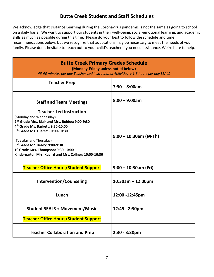## **Butte Creek Student and Staff Schedules**

We acknowledge that Distance Learning during the Coronavirus pandemic is not the same as going to school on a daily basis. We want to support our students in their well-being, social-emotional learning, and academic skills as much as possible during this time. Please do your best to follow the schedule and time recommendations below, but we recognize that adaptations may be necessary to meet the needs of your family. Please don't hesitate to reach out to your child's teacher if you need assistance. We're here to help.

| <b>Butte Creek Primary Grades Schedule</b><br>(Monday-Friday unless noted below)<br>45-90 minutes per day Teacher-Led Instructional Activities + 1-3 hours per day SEALS                                                                                                                                                                                                               |                          |  |
|----------------------------------------------------------------------------------------------------------------------------------------------------------------------------------------------------------------------------------------------------------------------------------------------------------------------------------------------------------------------------------------|--------------------------|--|
| <b>Teacher Prep</b>                                                                                                                                                                                                                                                                                                                                                                    | $7:30 - 8:00am$          |  |
| <b>Staff and Team Meetings</b>                                                                                                                                                                                                                                                                                                                                                         | $8:00 - 9:00am$          |  |
| <b>Teacher-Led Instruction</b><br>(Monday and Wednesday)<br>2 <sup>nd</sup> Grade Mrs. Blair and Mrs. Bolduc: 9:00-9:30<br>4 <sup>th</sup> Grade Ms. Barkett: 9:30-10:00<br>5 <sup>th</sup> Grade Ms. Fuerst: 10:00-10:30<br>(Tuesday and Thursday)<br>3rd Grade Mr. Brady: 9:00-9:30<br>1st Grade Mrs. Thompson: 9:30-10:00<br>Kindergarten Mrs. Kuenzi and Mrs. Zollner: 10:00-10:30 | $9:00 - 10:30$ am (M-Th) |  |
| <b>Teacher Office Hours/Student Support</b>                                                                                                                                                                                                                                                                                                                                            | $9:00 - 10:30$ am (Fri)  |  |
| <b>Intervention/Counseling</b>                                                                                                                                                                                                                                                                                                                                                         | $10:30$ am - 12:00pm     |  |
| Lunch                                                                                                                                                                                                                                                                                                                                                                                  | 12:00 -12:45pm           |  |
| <b>Student SEALS + Movement/Music</b><br><b>Teacher Office Hours/Student Support</b>                                                                                                                                                                                                                                                                                                   | 12:45 - 2:30pm           |  |
| <b>Teacher Collaboration and Prep</b>                                                                                                                                                                                                                                                                                                                                                  | $2:30 - 3:30$ pm         |  |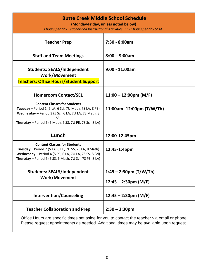## **Butte Creek Middle School Schedule**

**(Monday-Friday, unless noted below)**

*3 hours per day Teacher-Led Instructional Activities + 1-2 hours per day SEALS*

| <b>Teacher Prep</b>                                                                                                                                                                                                     | 7:30 - 8:00am                                                      |
|-------------------------------------------------------------------------------------------------------------------------------------------------------------------------------------------------------------------------|--------------------------------------------------------------------|
| <b>Staff and Team Meetings</b>                                                                                                                                                                                          | $8:00 - 9:00am$                                                    |
| <b>Students: SEALS/Independent</b><br><b>Work/Movement</b><br><b>Teachers: Office Hours/Student Support</b>                                                                                                             | $9:00 - 11:00am$                                                   |
| <b>Homeroom Contact/SEL</b>                                                                                                                                                                                             | $11:00 - 12:00 \text{pm (M/F)}$                                    |
| <b>Content Classes for Students</b><br>Tuesday - Period 1 (5 LA, 6 Sci, 7U Math, 7S LA, 8 PE)<br>Wednesday - Period 3 (5 Sci, 6 LA, 7U LA, 7S Math, 8<br>SS)<br>Thursday - Period 5 (5 Math, 6 SS, 7U PE, 7S Sci, 8 LA) | 11:00am -12:00pm $(T/W/Th)$                                        |
|                                                                                                                                                                                                                         |                                                                    |
| Lunch                                                                                                                                                                                                                   | 12:00-12:45pm                                                      |
| <b>Content Classes for Students</b><br>Tuesday - Period 2 (5 LA, 6 PE, 7U SS, 7S LA, 8 Math)<br>Wednesday - Period 4 (5 PE, 6 LA, 7U LA, 7S SS, 8 Sci)<br>Thursday – Period 6 (5 SS, 6 Math, 7U Sci, 7S PE, 8 LA)       | 12:45-1:45pm                                                       |
| <b>Students: SEALS/Independent</b><br><b>Work/Movement</b>                                                                                                                                                              | $1:45 - 2:30 \text{pm}$ (T/W/Th)<br>$12:45 - 2:30 \text{pm}$ (M/F) |
| <b>Intervention/Counseling</b>                                                                                                                                                                                          | $12:45 - 2:30 \text{pm}$ (M/F)                                     |
| <b>Teacher Collaboration and Prep</b>                                                                                                                                                                                   | $2:30 - 3:30$ pm                                                   |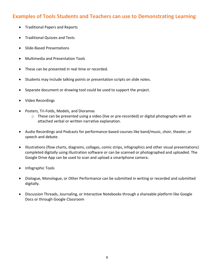## **Examples of Tools Students and Teachers can use to Demonstrating Learning**

- Traditional Papers and Reports
- Traditional Quizzes and Tests
- Slide-Based Presentations
- Multimedia and Presentation Tools
- These can be presented in real time or recorded.
- Students may include talking points or presentation scripts on slide notes.
- Separate document or drawing tool could be used to support the project.
- Video Recordings
- Posters, Tri-Folds, Models, and Dioramas
	- $\circ$  These can be presented using a video (live or pre-recorded) or digital photographs with an attached verbal or written narrative explanation.
- Audio Recordings and Podcasts for performance-based courses like band/music, choir, theater, or speech and debate.
- Illustrations (flow charts, diagrams, collages, comic strips, infographics and other visual presentations) completed digitally using illustration software or can be scanned or photographed and uploaded. The Google Drive App can be used to scan and upload a smartphone camera.
- Infographic Tools
- Dialogue, Monologue, or Other Performance can be submitted in writing or recorded and submitted digitally.
- Discussion Threads, Journaling, or Interactive Notebooks through a shareable platform like Google Docs or through Google Classroom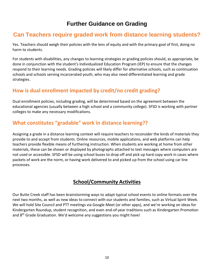## **Further Guidance on Grading**

## **Can Teachers require graded work from distance learning students?**

Yes. Teachers should weigh their policies with the lens of equity and with the primary goal of first, doing no harm to students.

For students with disabilities, any changes to learning strategies or grading policies should, as appropriate, be done in conjunction with the student's Individualized Education Program (IEP) to ensure that the changes respond to their learning needs. Grading policies will likely differ for alternative schools, such as continuation schools and schools serving incarcerated youth, who may also need differentiated learning and grade strategies.

## **How is dual enrollment impacted by credit/no credit grading?**

Dual enrollment policies, including grading, will be determined based on the agreement between the educational agencies (usually between a high school and a community college). SFSD is working with partner colleges to make any necessary modifications.

## **What constitutes "gradable" work in distance learning??**

Assigning a grade in a distance learning context will require teachers to reconsider the kinds of materials they provide to and accept from students. Online resources, mobile applications, and web platforms can help teachers provide flexible means of furthering instruction. When students are working at home from other materials, these can be shown or displayed by photographs attached to text messages where computers are not used or accessible. SFSD will be using school buses to drop off and pick up hard copy work in cases where packets of work are the norm, or having work delivered to and picked up from the school using car line processes.

## **School/Community Activities**

Our Butte Creek staff has been brainstorming ways to adapt typical school events to online formats over the next two months, as well as new ideas to connect with our students and families, such as Virtual Spirit Week. We will hold Site Council and PTT meetings via Google Meet (or other apps), and we're working on ideas for Kindergarten Roundup, student recognition, and even end-of-year traditions such as Kindergarten Promotion and 8<sup>th</sup> Grade Graduation. We'd welcome any suggestions you might have!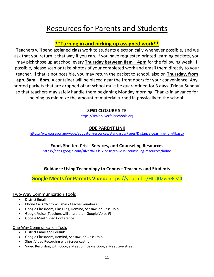## Resources for Parents and Students

## **\*\*Turning in and picking up assigned work\*\***

Teachers will send assigned class work to students electronically whenever possible, and we ask that you return it that way if you can. If you have requested printed learning packets, you may pick those up at school every **Thursday between 8am – 4pm** for the following week. If possible, please scan or take photos of your completed work and email them directly to your teacher. If that is not possible, you may return the packet to school, also on **Thursday, from app. 8am – 8pm.** A container will be placed near the front doors for your convenience. Any printed packets that are dropped off at school must be quarantined for 3 days (Friday-Sunday) so that teachers may safely handle them beginning Monday morning. Thanks in advance for helping us minimize the amount of material turned in physically to the school.

## **SFSD CLOSURE SITE**

[https://seals.silverfallsschools.org](https://seals.silverfallsschools.org/)

## **ODE PARENT LINK**

<https://www.oregon.gov/ode/educator-resources/standards/Pages/Distance-Learning-for-All.aspx>

**Food, Shelter, Crisis Services, and Counseling Resources**

<https://sites.google.com/silverfalls.k12.or.us/covid19-counseling-resources/home>

## **Guidance Using Technology to Connect Teachers and Students**

**Google Meets for Parents Video:** <https://youtu.be/HLQ0ZwSBOZ4>

## Two-Way Communication Tools

- District Email
- Phone Calls \*67 to will mask teacher numbers
- Google Classroom, Class Tag, Remind, Seesaw, or Class Dojo
- Google Voice (Teachers will share their Google Voice #)
- Google Meet Video Conference

#### One-Way Communication Tools

- District Email and Edulink
- Google Classroom, Remind, Seesaw, or Class Dojo
- Short Video Recording with Screencastify
- Video Recording with Google Meet or live via Google Meet Live stream